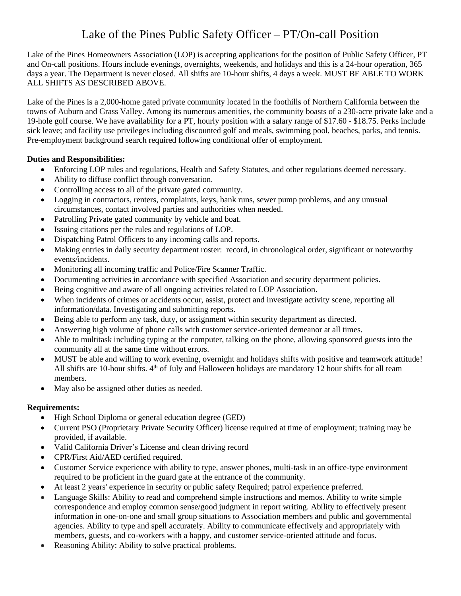## Lake of the Pines Public Safety Officer – PT/On-call Position

Lake of the Pines Homeowners Association (LOP) is accepting applications for the position of Public Safety Officer, PT and On-call positions. Hours include evenings, overnights, weekends, and holidays and this is a 24-hour operation, 365 days a year. The Department is never closed. All shifts are 10-hour shifts, 4 days a week. MUST BE ABLE TO WORK ALL SHIFTS AS DESCRIBED ABOVE.

Lake of the Pines is a 2,000-home gated private community located in the foothills of Northern California between the towns of Auburn and Grass Valley. Among its numerous amenities, the community boasts of a 230-acre private lake and a 19-hole golf course. We have availability for a PT, hourly position with a salary range of \$17.60 - \$18.75. Perks include sick leave; and facility use privileges including discounted golf and meals, swimming pool, beaches, parks, and tennis. Pre-employment background search required following conditional offer of employment.

## **Duties and Responsibilities:**

- Enforcing LOP rules and regulations, Health and Safety Statutes, and other regulations deemed necessary.
- Ability to diffuse conflict through conversation.
- Controlling access to all of the private gated community.
- Logging in contractors, renters, complaints, keys, bank runs, sewer pump problems, and any unusual circumstances, contact involved parties and authorities when needed.
- Patrolling Private gated community by vehicle and boat.
- Issuing citations per the rules and regulations of LOP.
- Dispatching Patrol Officers to any incoming calls and reports.
- Making entries in daily security department roster: record, in chronological order, significant or noteworthy events/incidents.
- Monitoring all incoming traffic and Police/Fire Scanner Traffic.
- Documenting activities in accordance with specified Association and security department policies.
- Being cognitive and aware of all ongoing activities related to LOP Association.
- When incidents of crimes or accidents occur, assist, protect and investigate activity scene, reporting all information/data. Investigating and submitting reports.
- Being able to perform any task, duty, or assignment within security department as directed.
- Answering high volume of phone calls with customer service-oriented demeanor at all times.
- Able to multitask including typing at the computer, talking on the phone, allowing sponsored guests into the community all at the same time without errors.
- MUST be able and willing to work evening, overnight and holidays shifts with positive and teamwork attitude! All shifts are 10-hour shifts.  $4<sup>th</sup>$  of July and Halloween holidays are mandatory 12 hour shifts for all team members.
- May also be assigned other duties as needed.

## **Requirements:**

- High School Diploma or general education degree (GED)
- Current PSO (Proprietary Private Security Officer) license required at time of employment; training may be provided, if available.
- Valid California Driver's License and clean driving record
- CPR/First Aid/AED certified required.
- Customer Service experience with ability to type, answer phones, multi-task in an office-type environment required to be proficient in the guard gate at the entrance of the community.
- At least 2 years' experience in security or public safety Required; patrol experience preferred.
- Language Skills: Ability to read and comprehend simple instructions and memos. Ability to write simple correspondence and employ common sense/good judgment in report writing. Ability to effectively present information in one-on-one and small group situations to Association members and public and governmental agencies. Ability to type and spell accurately. Ability to communicate effectively and appropriately with members, guests, and co-workers with a happy, and customer service-oriented attitude and focus.
- Reasoning Ability: Ability to solve practical problems.